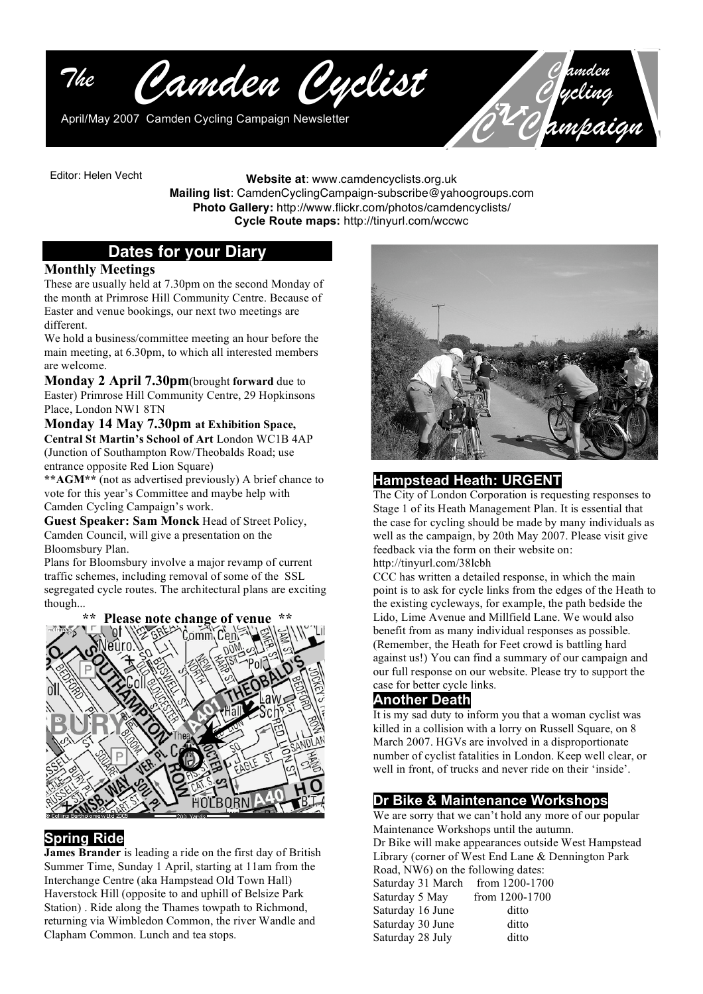

*C ycling C C ampaign*

Editor: Helen Vecht

**Website at**: www.camdencyclists.org.uk **Mailing list**: CamdenCyclingCampaign-subscribe@yahoogroups.com **Photo Gallery:** http://www.flickr.com/photos/camdencyclists/ **Cycle Route maps:** http://tinyurl.com/wccwc

# **Dates for your Diary**

#### **Monthly Meetings**

These are usually held at 7.30pm on the second Monday of the month at Primrose Hill Community Centre. Because of Easter and venue bookings, our next two meetings are different.

We hold a business/committee meeting an hour before the main meeting, at 6.30pm, to which all interested members are welcome.

**Monday 2 April 7.30pm**(brought **forward** due to Easter) Primrose Hill Community Centre, 29 Hopkinsons Place, London NW1 8TN

**Monday 14 May 7.30pm at Exhibition Space, Central St Martin's School of Art** London WC1B 4AP (Junction of Southampton Row/Theobalds Road; use entrance opposite Red Lion Square)

**\*\*AGM\*\*** (not as advertised previously) A brief chance to vote for this year's Committee and maybe help with Camden Cycling Campaign's work.

**Guest Speaker: Sam Monck** Head of Street Policy, Camden Council, will give a presentation on the Bloomsbury Plan.

Plans for Bloomsbury involve a major revamp of current traffic schemes, including removal of some of the SSL segregated cycle routes. The architectural plans are exciting though...



## **Spring Ride**

**James Brander** is leading a ride on the first day of British Summer Time, Sunday 1 April, starting at 11am from the Interchange Centre (aka Hampstead Old Town Hall) Haverstock Hill (opposite to and uphill of Belsize Park Station) . Ride along the Thames towpath to Richmond, returning via Wimbledon Common, the river Wandle and Clapham Common. Lunch and tea stops.



# **Hampstead Heath: URGENT**

The City of London Corporation is requesting responses to Stage 1 of its Heath Management Plan. It is essential that the case for cycling should be made by many individuals as well as the campaign, by 20th May 2007. Please visit give feedback via the form on their website on:

http://tinyurl.com/38lcbh

CCC has written a detailed response, in which the main point is to ask for cycle links from the edges of the Heath to the existing cycleways, for example, the path bedside the Lido, Lime Avenue and Millfield Lane. We would also benefit from as many individual responses as possible. (Remember, the Heath for Feet crowd is battling hard against us!) You can find a summary of our campaign and our full response on our website. Please try to support the case for better cycle links.

## **Another Death**

It is my sad duty to inform you that a woman cyclist was killed in a collision with a lorry on Russell Square, on 8 March 2007. HGVs are involved in a disproportionate number of cyclist fatalities in London. Keep well clear, or well in front, of trucks and never ride on their 'inside'.

# **Dr Bike & Maintenance Workshops**

We are sorry that we can't hold any more of our popular Maintenance Workshops until the autumn. Dr Bike will make appearances outside West Hampstead Library (corner of West End Lane & Dennington Park Road, NW6) on the following dates: Saturday 31 March from 1200-1700 Saturday 5 May from 1200-1700 Saturday 16 June ditto Saturday 30 June ditto Saturday 28 July ditto